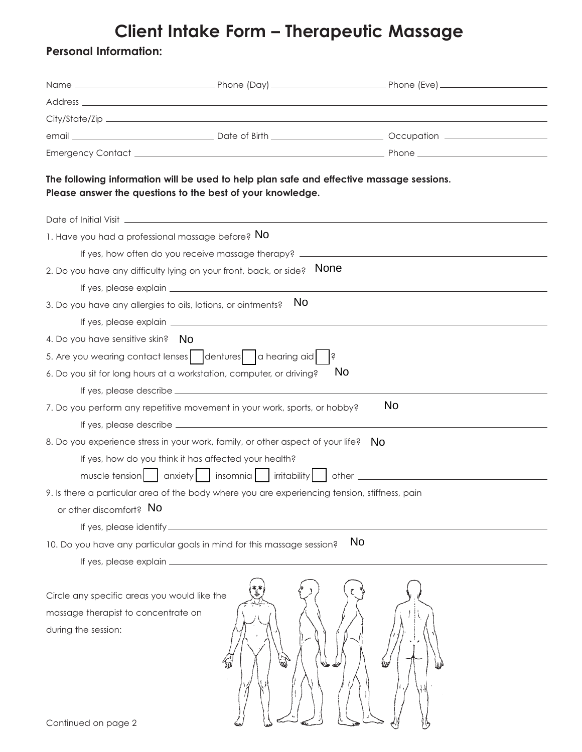## **Client Intake Form – Therapeutic Massage**

## **Personal Information:**

|                                                                                                            | The following information will be used to help plan safe and effective massage sessions.<br>Please answer the questions to the best of your knowledge. |             |
|------------------------------------------------------------------------------------------------------------|--------------------------------------------------------------------------------------------------------------------------------------------------------|-------------|
|                                                                                                            |                                                                                                                                                        |             |
| 1. Have you had a professional massage before? No                                                          |                                                                                                                                                        |             |
|                                                                                                            | If yes, how often do you receive massage therapy? ______________________________                                                                       |             |
|                                                                                                            | 2. Do you have any difficulty lying on your front, back, or side?                                                                                      | <b>None</b> |
|                                                                                                            |                                                                                                                                                        |             |
| 3. Do you have any allergies to oils, lotions, or ointments?                                               | No.                                                                                                                                                    |             |
|                                                                                                            |                                                                                                                                                        |             |
| 4. Do you have sensitive skin? No                                                                          |                                                                                                                                                        |             |
|                                                                                                            | 5. Are you wearing contact lenses   dentures   a hearing aid                                                                                           | $ \dot{s}$  |
|                                                                                                            | 6. Do you sit for long hours at a workstation, computer, or driving?                                                                                   | No.         |
|                                                                                                            |                                                                                                                                                        |             |
|                                                                                                            | 7. Do you perform any repetitive movement in your work, sports, or hobby?                                                                              | <b>No</b>   |
|                                                                                                            |                                                                                                                                                        |             |
|                                                                                                            | 8. Do you experience stress in your work, family, or other aspect of your life?                                                                        | - No        |
|                                                                                                            | If yes, how do you think it has affected your health?                                                                                                  |             |
|                                                                                                            | muscle tension   anxiety   insomnia     irritability   other ___________________                                                                       |             |
|                                                                                                            | 9. Is there a particular area of the body where you are experiencing tension, stiffness, pain                                                          |             |
| or other discomfort? No                                                                                    |                                                                                                                                                        |             |
|                                                                                                            |                                                                                                                                                        |             |
|                                                                                                            | 10. Do you have any particular goals in mind for this massage session?                                                                                 | <b>No</b>   |
|                                                                                                            |                                                                                                                                                        |             |
| Circle any specific areas you would like the<br>massage therapist to concentrate on<br>during the session: |                                                                                                                                                        |             |
| Continued on page 2                                                                                        |                                                                                                                                                        |             |